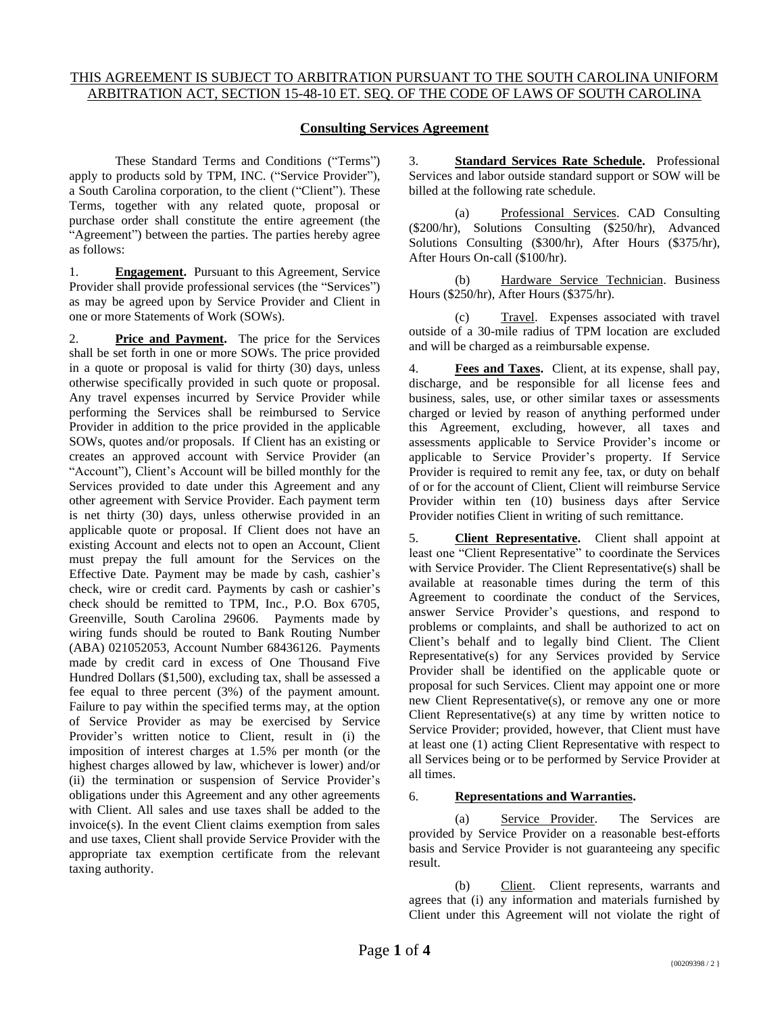## **Consulting Services Agreement**

These Standard Terms and Conditions ("Terms") apply to products sold by TPM, INC. ("Service Provider"), a South Carolina corporation, to the client ("Client"). These Terms, together with any related quote, proposal or purchase order shall constitute the entire agreement (the "Agreement") between the parties. The parties hereby agree as follows:

1. **Engagement.** Pursuant to this Agreement, Service Provider shall provide professional services (the "Services") as may be agreed upon by Service Provider and Client in one or more Statements of Work (SOWs).

2. **Price and Payment.** The price for the Services shall be set forth in one or more SOWs. The price provided in a quote or proposal is valid for thirty (30) days, unless otherwise specifically provided in such quote or proposal. Any travel expenses incurred by Service Provider while performing the Services shall be reimbursed to Service Provider in addition to the price provided in the applicable SOWs, quotes and/or proposals. If Client has an existing or creates an approved account with Service Provider (an "Account"), Client's Account will be billed monthly for the Services provided to date under this Agreement and any other agreement with Service Provider. Each payment term is net thirty (30) days, unless otherwise provided in an applicable quote or proposal. If Client does not have an existing Account and elects not to open an Account, Client must prepay the full amount for the Services on the Effective Date. Payment may be made by cash, cashier's check, wire or credit card. Payments by cash or cashier's check should be remitted to TPM, Inc., P.O. Box 6705, Greenville, South Carolina 29606. Payments made by wiring funds should be routed to Bank Routing Number (ABA) 021052053, Account Number 68436126. Payments made by credit card in excess of One Thousand Five Hundred Dollars (\$1,500), excluding tax, shall be assessed a fee equal to three percent (3%) of the payment amount. Failure to pay within the specified terms may, at the option of Service Provider as may be exercised by Service Provider's written notice to Client, result in (i) the imposition of interest charges at 1.5% per month (or the highest charges allowed by law, whichever is lower) and/or (ii) the termination or suspension of Service Provider's obligations under this Agreement and any other agreements with Client. All sales and use taxes shall be added to the invoice(s). In the event Client claims exemption from sales and use taxes, Client shall provide Service Provider with the appropriate tax exemption certificate from the relevant taxing authority.

3. **Standard Services Rate Schedule.** Professional Services and labor outside standard support or SOW will be billed at the following rate schedule.

(a) Professional Services. CAD Consulting (\$200/hr), Solutions Consulting (\$250/hr), Advanced Solutions Consulting (\$300/hr), After Hours (\$375/hr), After Hours On-call (\$100/hr).

(b) Hardware Service Technician. Business Hours (\$250/hr), After Hours (\$375/hr).

Travel. Expenses associated with travel outside of a 30-mile radius of TPM location are excluded and will be charged as a reimbursable expense.

Fees and Taxes. Client, at its expense, shall pay, discharge, and be responsible for all license fees and business, sales, use, or other similar taxes or assessments charged or levied by reason of anything performed under this Agreement, excluding, however, all taxes and assessments applicable to Service Provider's income or applicable to Service Provider's property. If Service Provider is required to remit any fee, tax, or duty on behalf of or for the account of Client, Client will reimburse Service Provider within ten (10) business days after Service Provider notifies Client in writing of such remittance.

5. **Client Representative.** Client shall appoint at least one "Client Representative" to coordinate the Services with Service Provider. The Client Representative(s) shall be available at reasonable times during the term of this Agreement to coordinate the conduct of the Services, answer Service Provider's questions, and respond to problems or complaints, and shall be authorized to act on Client's behalf and to legally bind Client. The Client Representative(s) for any Services provided by Service Provider shall be identified on the applicable quote or proposal for such Services. Client may appoint one or more new Client Representative(s), or remove any one or more Client Representative(s) at any time by written notice to Service Provider; provided, however, that Client must have at least one (1) acting Client Representative with respect to all Services being or to be performed by Service Provider at all times.

## 6. **Representations and Warranties.**

(a) Service Provider. The Services are provided by Service Provider on a reasonable best-efforts basis and Service Provider is not guaranteeing any specific result.

(b) Client. Client represents, warrants and agrees that (i) any information and materials furnished by Client under this Agreement will not violate the right of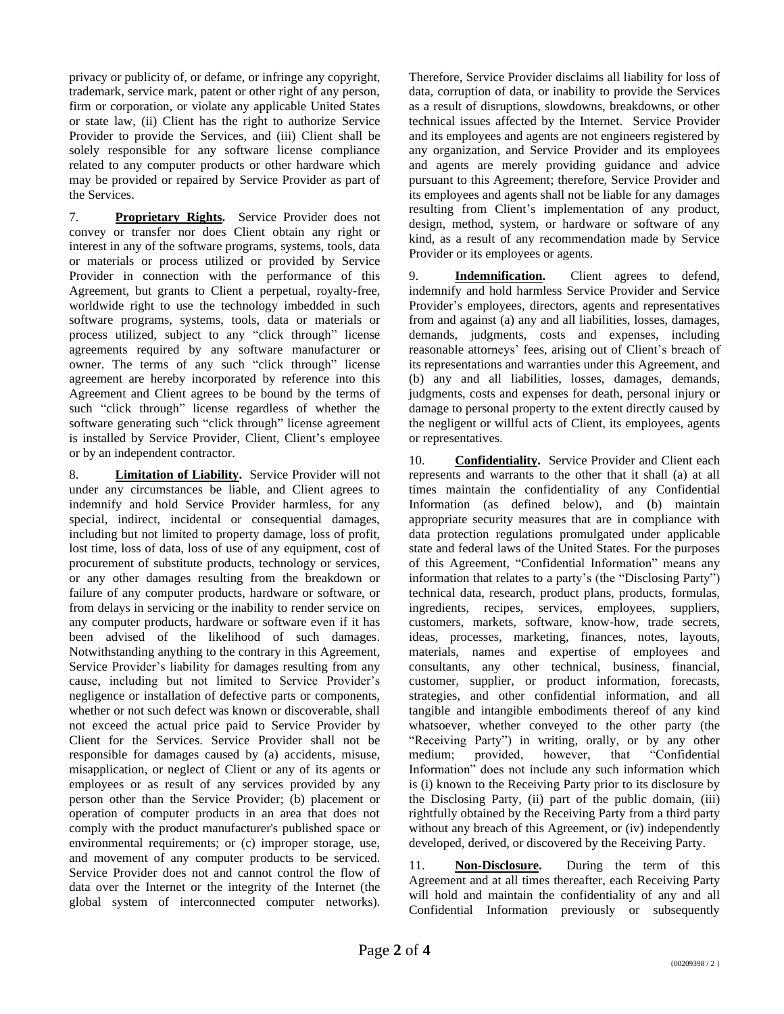privacy or publicity of, or defame, or infringe any copyright, trademark, service mark, patent or other right of any person, firm or corporation, or violate any applicable United States or state law, (ii) Client has the right to authorize Service Provider to provide the Services, and (iii) Client shall be solely responsible for any software license compliance related to any computer products or other hardware which may be provided or repaired by Service Provider as part of the Services.

7. **Proprietary Rights.** Service Provider does not convey or transfer nor does Client obtain any right or interest in any of the software programs, systems, tools, data or materials or process utilized or provided by Service Provider in connection with the performance of this Agreement, but grants to Client a perpetual, royalty-free, worldwide right to use the technology imbedded in such software programs, systems, tools, data or materials or process utilized, subject to any "click through" license agreements required by any software manufacturer or owner. The terms of any such "click through" license agreement are hereby incorporated by reference into this Agreement and Client agrees to be bound by the terms of such "click through" license regardless of whether the software generating such "click through" license agreement is installed by Service Provider, Client, Client's employee or by an independent contractor.

8. **Limitation of Liability.** Service Provider will not under any circumstances be liable, and Client agrees to indemnify and hold Service Provider harmless, for any special, indirect, incidental or consequential damages, including but not limited to property damage, loss of profit, lost time, loss of data, loss of use of any equipment, cost of procurement of substitute products, technology or services, or any other damages resulting from the breakdown or failure of any computer products, hardware or software, or from delays in servicing or the inability to render service on any computer products, hardware or software even if it has been advised of the likelihood of such damages. Notwithstanding anything to the contrary in this Agreement, Service Provider's liability for damages resulting from any cause, including but not limited to Service Provider's negligence or installation of defective parts or components, whether or not such defect was known or discoverable, shall not exceed the actual price paid to Service Provider by Client for the Services. Service Provider shall not be responsible for damages caused by (a) accidents, misuse, misapplication, or neglect of Client or any of its agents or employees or as result of any services provided by any person other than the Service Provider; (b) placement or operation of computer products in an area that does not comply with the product manufacturer's published space or environmental requirements; or (c) improper storage, use, and movement of any computer products to be serviced. Service Provider does not and cannot control the flow of data over the Internet or the integrity of the Internet (the global system of interconnected computer networks).

Therefore, Service Provider disclaims all liability for loss of data, corruption of data, or inability to provide the Services as a result of disruptions, slowdowns, breakdowns, or other technical issues affected by the Internet. Service Provider and its employees and agents are not engineers registered by any organization, and Service Provider and its employees and agents are merely providing guidance and advice pursuant to this Agreement; therefore, Service Provider and its employees and agents shall not be liable for any damages resulting from Client's implementation of any product, design, method, system, or hardware or software of any kind, as a result of any recommendation made by Service Provider or its employees or agents.

9. **Indemnification.** Client agrees to defend, indemnify and hold harmless Service Provider and Service Provider's employees, directors, agents and representatives from and against (a) any and all liabilities, losses, damages, demands, judgments, costs and expenses, including reasonable attorneys' fees, arising out of Client's breach of its representations and warranties under this Agreement, and (b) any and all liabilities, losses, damages, demands, judgments, costs and expenses for death, personal injury or damage to personal property to the extent directly caused by the negligent or willful acts of Client, its employees, agents or representatives.

10. **Confidentiality.** Service Provider and Client each represents and warrants to the other that it shall (a) at all times maintain the confidentiality of any Confidential Information (as defined below), and (b) maintain appropriate security measures that are in compliance with data protection regulations promulgated under applicable state and federal laws of the United States. For the purposes of this Agreement, "Confidential Information" means any information that relates to a party's (the "Disclosing Party") technical data, research, product plans, products, formulas, ingredients, recipes, services, employees, suppliers, customers, markets, software, know-how, trade secrets, ideas, processes, marketing, finances, notes, layouts, materials, names and expertise of employees and consultants, any other technical, business, financial, customer, supplier, or product information, forecasts, strategies, and other confidential information, and all tangible and intangible embodiments thereof of any kind whatsoever, whether conveyed to the other party (the "Receiving Party") in writing, orally, or by any other medium; provided, however, that "Confidential Information" does not include any such information which is (i) known to the Receiving Party prior to its disclosure by the Disclosing Party, (ii) part of the public domain, (iii) rightfully obtained by the Receiving Party from a third party without any breach of this Agreement, or (iv) independently developed, derived, or discovered by the Receiving Party.

11. **Non-Disclosure.** During the term of this Agreement and at all times thereafter, each Receiving Party will hold and maintain the confidentiality of any and all Confidential Information previously or subsequently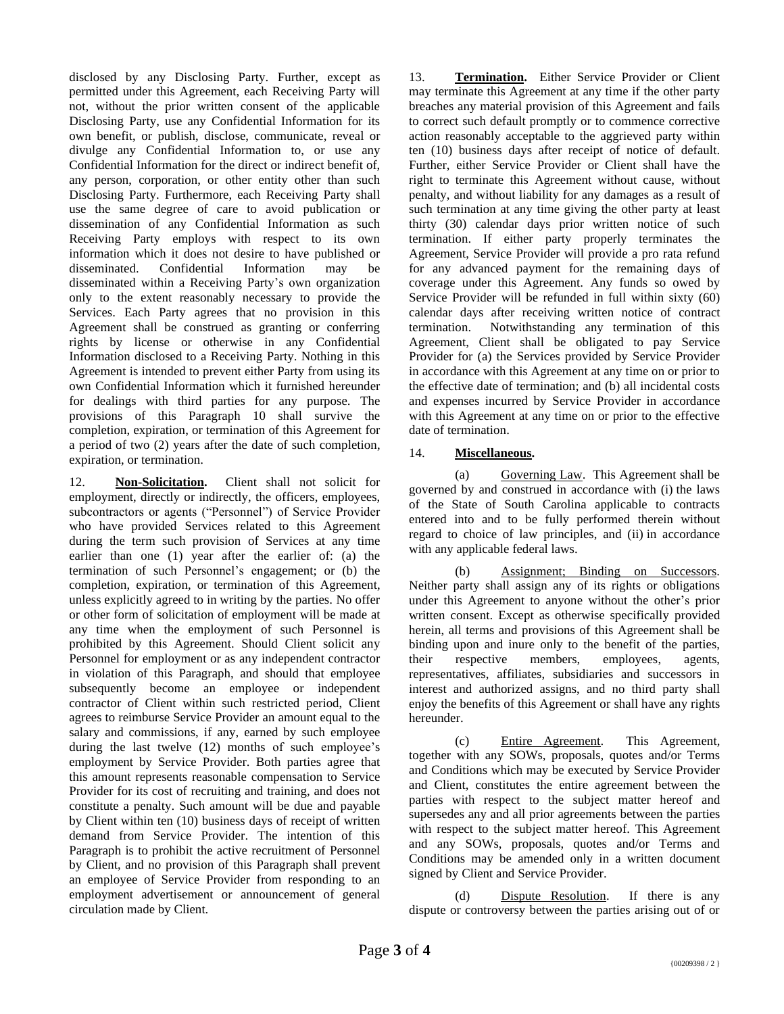disclosed by any Disclosing Party. Further, except as permitted under this Agreement, each Receiving Party will not, without the prior written consent of the applicable Disclosing Party, use any Confidential Information for its own benefit, or publish, disclose, communicate, reveal or divulge any Confidential Information to, or use any Confidential Information for the direct or indirect benefit of, any person, corporation, or other entity other than such Disclosing Party. Furthermore, each Receiving Party shall use the same degree of care to avoid publication or dissemination of any Confidential Information as such Receiving Party employs with respect to its own information which it does not desire to have published or disseminated. Confidential Information may be disseminated within a Receiving Party's own organization only to the extent reasonably necessary to provide the Services. Each Party agrees that no provision in this Agreement shall be construed as granting or conferring rights by license or otherwise in any Confidential Information disclosed to a Receiving Party. Nothing in this Agreement is intended to prevent either Party from using its own Confidential Information which it furnished hereunder for dealings with third parties for any purpose. The provisions of this Paragraph 10 shall survive the completion, expiration, or termination of this Agreement for a period of two (2) years after the date of such completion, expiration, or termination.

12. **Non-Solicitation.** Client shall not solicit for employment, directly or indirectly, the officers, employees, subcontractors or agents ("Personnel") of Service Provider who have provided Services related to this Agreement during the term such provision of Services at any time earlier than one (1) year after the earlier of: (a) the termination of such Personnel's engagement; or (b) the completion, expiration, or termination of this Agreement, unless explicitly agreed to in writing by the parties. No offer or other form of solicitation of employment will be made at any time when the employment of such Personnel is prohibited by this Agreement. Should Client solicit any Personnel for employment or as any independent contractor in violation of this Paragraph, and should that employee subsequently become an employee or independent contractor of Client within such restricted period, Client agrees to reimburse Service Provider an amount equal to the salary and commissions, if any, earned by such employee during the last twelve (12) months of such employee's employment by Service Provider. Both parties agree that this amount represents reasonable compensation to Service Provider for its cost of recruiting and training, and does not constitute a penalty. Such amount will be due and payable by Client within ten (10) business days of receipt of written demand from Service Provider. The intention of this Paragraph is to prohibit the active recruitment of Personnel by Client, and no provision of this Paragraph shall prevent an employee of Service Provider from responding to an employment advertisement or announcement of general circulation made by Client.

13. **Termination.** Either Service Provider or Client may terminate this Agreement at any time if the other party breaches any material provision of this Agreement and fails to correct such default promptly or to commence corrective action reasonably acceptable to the aggrieved party within ten (10) business days after receipt of notice of default. Further, either Service Provider or Client shall have the right to terminate this Agreement without cause, without penalty, and without liability for any damages as a result of such termination at any time giving the other party at least thirty (30) calendar days prior written notice of such termination. If either party properly terminates the Agreement, Service Provider will provide a pro rata refund for any advanced payment for the remaining days of coverage under this Agreement. Any funds so owed by Service Provider will be refunded in full within sixty (60) calendar days after receiving written notice of contract termination. Notwithstanding any termination of this Agreement, Client shall be obligated to pay Service Provider for (a) the Services provided by Service Provider in accordance with this Agreement at any time on or prior to the effective date of termination; and (b) all incidental costs and expenses incurred by Service Provider in accordance with this Agreement at any time on or prior to the effective date of termination.

## 14. **Miscellaneous.**

(a) Governing Law. This Agreement shall be governed by and construed in accordance with (i) the laws of the State of South Carolina applicable to contracts entered into and to be fully performed therein without regard to choice of law principles, and (ii) in accordance with any applicable federal laws.

(b) Assignment; Binding on Successors. Neither party shall assign any of its rights or obligations under this Agreement to anyone without the other's prior written consent. Except as otherwise specifically provided herein, all terms and provisions of this Agreement shall be binding upon and inure only to the benefit of the parties, their respective members, employees, agents, representatives, affiliates, subsidiaries and successors in interest and authorized assigns, and no third party shall enjoy the benefits of this Agreement or shall have any rights hereunder.

(c) Entire Agreement. This Agreement, together with any SOWs, proposals, quotes and/or Terms and Conditions which may be executed by Service Provider and Client, constitutes the entire agreement between the parties with respect to the subject matter hereof and supersedes any and all prior agreements between the parties with respect to the subject matter hereof. This Agreement and any SOWs, proposals, quotes and/or Terms and Conditions may be amended only in a written document signed by Client and Service Provider.

(d) Dispute Resolution. If there is any dispute or controversy between the parties arising out of or